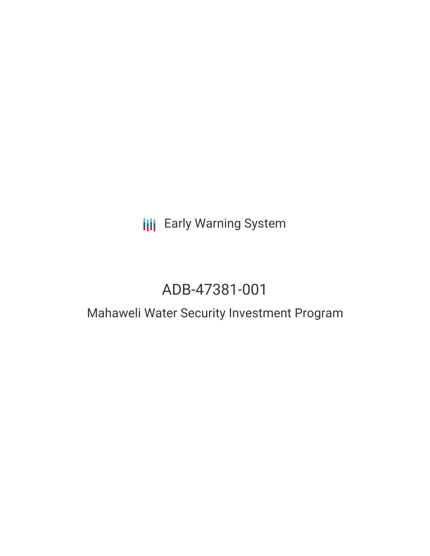# **III** Early Warning System

# ADB-47381-001

# Mahaweli Water Security Investment Program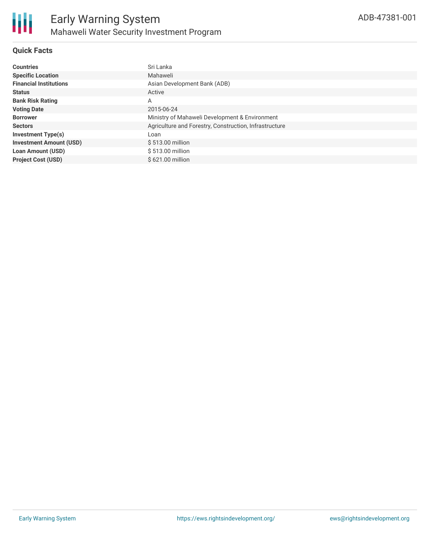

## **Quick Facts**

| <b>Countries</b>               | Sri Lanka                                              |
|--------------------------------|--------------------------------------------------------|
| <b>Specific Location</b>       | Mahaweli                                               |
| <b>Financial Institutions</b>  | Asian Development Bank (ADB)                           |
| <b>Status</b>                  | Active                                                 |
| <b>Bank Risk Rating</b>        | A                                                      |
| <b>Voting Date</b>             | 2015-06-24                                             |
| <b>Borrower</b>                | Ministry of Mahaweli Development & Environment         |
| <b>Sectors</b>                 | Agriculture and Forestry, Construction, Infrastructure |
| <b>Investment Type(s)</b>      | Loan                                                   |
| <b>Investment Amount (USD)</b> | \$513.00 million                                       |
| <b>Loan Amount (USD)</b>       | \$513.00 million                                       |
| <b>Project Cost (USD)</b>      | \$621.00 million                                       |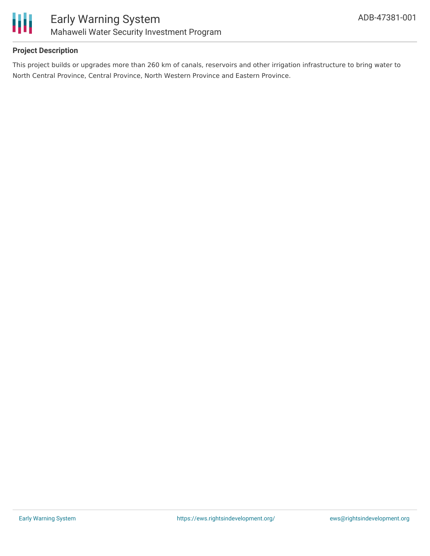

## **Project Description**

This project builds or upgrades more than 260 km of canals, reservoirs and other irrigation infrastructure to bring water to North Central Province, Central Province, North Western Province and Eastern Province.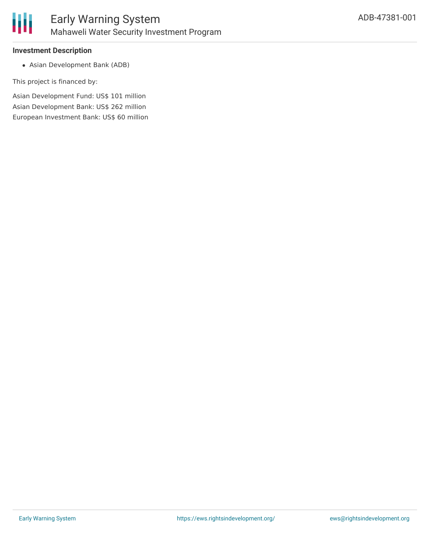

#### **Investment Description**

Asian Development Bank (ADB)

This project is financed by:

Asian Development Fund: US\$ 101 million Asian Development Bank: US\$ 262 million European Investment Bank: US\$ 60 million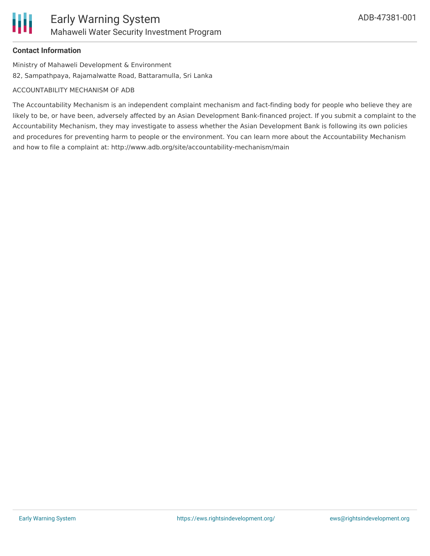#### **Contact Information**

Ministry of Mahaweli Development & Environment 82, Sampathpaya, Rajamalwatte Road, Battaramulla, Sri Lanka

#### ACCOUNTABILITY MECHANISM OF ADB

The Accountability Mechanism is an independent complaint mechanism and fact-finding body for people who believe they are likely to be, or have been, adversely affected by an Asian Development Bank-financed project. If you submit a complaint to the Accountability Mechanism, they may investigate to assess whether the Asian Development Bank is following its own policies and procedures for preventing harm to people or the environment. You can learn more about the Accountability Mechanism and how to file a complaint at: http://www.adb.org/site/accountability-mechanism/main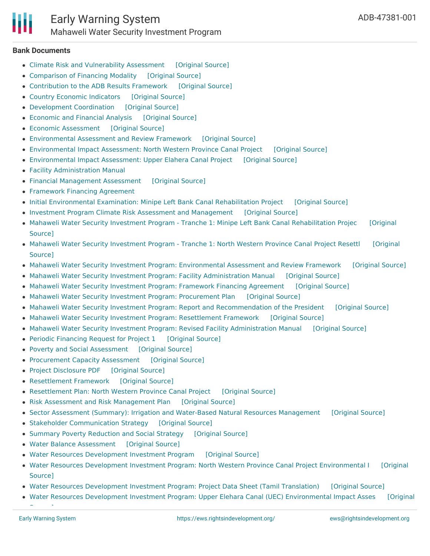#### **Bank Documents**

- Climate Risk and [Vulnerability](https://ewsdata.rightsindevelopment.org/files/documents/01/ADB-47381-001_sX7uqyc.pdf) Assessment [\[Original](https://www.adb.org/projects/documents/mahaweli-water-security-investment-program-rrp) Source]
- [Comparison](https://ewsdata.rightsindevelopment.org/files/documents/01/ADB-47381-001_JMsKud2.pdf) of Financing Modality [\[Original](https://www.adb.org/projects/documents/mahaweli-water-security-investment-program-rrp) Source]
- [Contribution](https://ewsdata.rightsindevelopment.org/files/documents/01/ADB-47381-001_zjvhZX6.pdf) to the ADB Results Framework [\[Original](https://www.adb.org/projects/documents/mahaweli-water-security-investment-program-rrp) Source]
- Country Economic [Indicators](https://ewsdata.rightsindevelopment.org/files/documents/01/ADB-47381-001_BLU3fvl.pdf) [\[Original](https://www.adb.org/projects/documents/mahaweli-water-security-investment-program-rrp) Source]
- [Development](https://ewsdata.rightsindevelopment.org/files/documents/01/ADB-47381-001_LblVAi0.pdf) Coordination [\[Original](https://www.adb.org/projects/documents/mahaweli-water-security-investment-program-rrp) Source]
- [Economic](https://ewsdata.rightsindevelopment.org/files/documents/01/ADB-47381-001_vWNoPu9.pdf) and Financial Analysis [\[Original](https://www.adb.org/projects/documents/mahaweli-water-security-investment-program-rrp) Source]
- Economic [Assessment](https://ewsdata.rightsindevelopment.org/files/documents/01/ADB-47381-001_A5228en.pdf) [\[Original](https://www.adb.org/projects/documents/mahaweli-water-security-investment-program-rrp) Source]
- [Environmental](https://ewsdata.rightsindevelopment.org/files/documents/01/ADB-47381-001_Y620N7d.pdf) Assessment and Review Framework [\[Original](https://www.adb.org/projects/documents/mahaweli-water-security-investment-program-rrp) Source]
- [Environmental](https://ewsdata.rightsindevelopment.org/files/documents/01/ADB-47381-001_wEqGaQJ.pdf) Impact Assessment: North Western Province Canal Project [\[Original](https://www.adb.org/projects/documents/mahaweli-water-security-investment-program-rrp) Source]
- [Environmental](https://ewsdata.rightsindevelopment.org/files/documents/01/ADB-47381-001_lwZGob1.pdf) Impact Assessment: Upper Elahera Canal Project [\[Original](https://www.adb.org/projects/documents/mahaweli-water-security-investment-program-rrp) Source]
- Facility [Administration](https://www.adb.org/projects/documents/mahaweli-water-security-investment-program-rrp) Manual
- Financial [Management](https://ewsdata.rightsindevelopment.org/files/documents/01/ADB-47381-001_tIzuwXN.pdf) Assessment [\[Original](https://www.adb.org/projects/documents/mahaweli-water-security-investment-program-rrp) Source]
- [Framework](https://www.adb.org/projects/documents/mahaweli-water-security-investment-program-rrp) Financing Agreement
- Initial [Environmental](https://ewsdata.rightsindevelopment.org/files/documents/01/ADB-47381-001_4IvqRvk.pdf) Examination: Minipe Left Bank Canal Rehabilitation Project [\[Original](https://www.adb.org/projects/documents/mahaweli-water-security-investment-program-rrp) Source]
- Investment Program Climate Risk Assessment and [Management](https://ewsdata.rightsindevelopment.org/files/documents/01/ADB-47381-001_f6FfWQM.pdf) [\[Original](https://www.adb.org/projects/documents/mahaweli-water-security-investment-program-rrp) Source]
- Mahaweli Water Security Investment Program Tranche 1: Minipe Left Bank Canal [Rehabilitation](https://www.adb.org/projects/documents/sri-mahaweli-water-security-investment-program-t1-iee) Projec [Original Source]
- Mahaweli Water Security [Investment](https://www.adb.org/projects/documents/mahaweli-water-security-investment-program-t1-north-western-province-canal-rp) Program Tranche 1: North Western Province Canal Project Resettl [Original Source]
- Mahaweli Water Security Investment Program: [Environmental](https://ewsdata.rightsindevelopment.org/files/documents/01/ADB-47381-001_cHCZXiC.pdf) Assessment and Review Framework [\[Original](https://www.adb.org/projects/documents/sri-mahaweli-water-security-investment-program-earf) Source]
- Mahaweli Water Security Investment Program: Facility [Administration](https://ewsdata.rightsindevelopment.org/files/documents/01/ADB-47381-001_nenJhiE.pdf) Manual [\[Original](https://www.adb.org/projects/documents/mahaweli-water-security-investment-program-fam) Source]
- Mahaweli Water Security [Investment](https://ewsdata.rightsindevelopment.org/files/documents/01/ADB-47381-001_lRz7wC5.pdf) Program: Framework Financing Agreement [\[Original](https://www.adb.org/projects/documents/mahaweli-water-security-investment-program-ffa) Source]
- Mahaweli Water Security Investment Program: [Procurement](https://ewsdata.rightsindevelopment.org/files/documents/01/ADB-47381-001_Y8Ut8Kt.pdf) Plan [\[Original](https://www.adb.org/projects/documents/mahaweli-water-security-investment-program-pp) Source]
- Mahaweli Water Security Investment Program: Report and [Recommendation](https://ewsdata.rightsindevelopment.org/files/documents/01/ADB-47381-001_BViuwV9.pdf) of the President [\[Original](https://www.adb.org/projects/documents/mahaweli-water-security-investment-program-rrp) Source]
- Mahaweli Water Security Investment Program: [Resettlement](https://ewsdata.rightsindevelopment.org/files/documents/01/ADB-47381-001_0vlmjUw.pdf) Framework [\[Original](https://www.adb.org/projects/documents/sri-mahaweli-water-security-investment-program-rf) Source]
- Mahaweli Water Security Investment Program: Revised Facility [Administration](https://ewsdata.rightsindevelopment.org/files/documents/01/ADB-47381-001_Tndh2IK.pdf) Manual [\[Original](https://www.adb.org/projects/documents/sri-47381-001-fam) Source]
- Periodic [Financing](https://ewsdata.rightsindevelopment.org/files/documents/01/ADB-47381-001_l5JVxby.pdf) Request for Project 1 [\[Original](https://www.adb.org/projects/documents/mahaweli-water-security-investment-program-rrp) Source]
- Poverty and Social [Assessment](https://ewsdata.rightsindevelopment.org/files/documents/01/ADB-47381-001_leGEONp.pdf) [\[Original](https://www.adb.org/projects/documents/mahaweli-water-security-investment-program-rrp) Source]
- [Procurement](https://ewsdata.rightsindevelopment.org/files/documents/01/ADB-47381-001_IIad1fD.pdf) Capacity Assessment [\[Original](https://www.adb.org/projects/documents/mahaweli-water-security-investment-program-rrp) Source]
- Project [Disclosure](https://ewsdata.rightsindevelopment.org/files/documents/01/ADB-47381-001.pdf) PDF [\[Original](https://www.adb.org/printpdf/projects/47381-001/main) Source]
- [Resettlement](https://ewsdata.rightsindevelopment.org/files/documents/01/ADB-47381-001_iXUibRr.pdf) Framework [\[Original](https://www.adb.org/projects/documents/mahaweli-water-security-investment-program-rrp) Source]
- [Resettlement](https://ewsdata.rightsindevelopment.org/files/documents/01/ADB-47381-001_J7LGz31.pdf) Plan: North Western Province Canal Project [\[Original](https://www.adb.org/projects/documents/mahaweli-water-security-investment-program-rrp) Source]
- Risk Assessment and Risk [Management](https://ewsdata.rightsindevelopment.org/files/documents/01/ADB-47381-001_JA3uMwJ.pdf) Plan [\[Original](https://www.adb.org/projects/documents/mahaweli-water-security-investment-program-rrp) Source]
- Sector Assessment (Summary): Irrigation and Water-Based Natural Resources [Management](https://ewsdata.rightsindevelopment.org/files/documents/01/ADB-47381-001_9ci8vsW.pdf) [\[Original](https://www.adb.org/projects/documents/mahaweli-water-security-investment-program-rrp) Source]
- Stakeholder [Communication](https://ewsdata.rightsindevelopment.org/files/documents/01/ADB-47381-001_tI4mTOX.pdf) Strategy [\[Original](https://www.adb.org/projects/documents/mahaweli-water-security-investment-program-rrp) Source]
- Summary Poverty [Reduction](https://ewsdata.rightsindevelopment.org/files/documents/01/ADB-47381-001_MUsUh5u.pdf) and Social Strategy [\[Original](https://www.adb.org/projects/documents/mahaweli-water-security-investment-program-rrp) Source]
- Water Balance [Assessment](https://ewsdata.rightsindevelopment.org/files/documents/01/ADB-47381-001_pbxeJu2.pdf) [\[Original](https://www.adb.org/projects/documents/mahaweli-water-security-investment-program-rrp) Source]
- Water Resources [Development](https://ewsdata.rightsindevelopment.org/files/documents/01/ADB-47381-001_hhUTPuG.pdf) Investment Program [\[Original](https://www.adb.org/projects/documents/water-resources-development-investment-program-ipsa) Source]
- Water Resources Development Investment Program: North Western Province Canal Project [Environmental](https://ewsdata.rightsindevelopment.org/files/documents/01/ADB-47381-001_FTQ8ajc.pdf) I [Original Source]
- Water Resources [Development](https://ewsdata.rightsindevelopment.org/files/documents/01/ADB-47381-001_X8QCOaU.pdf) Investment Program: Project Data Sheet (Tamil Translation) [\[Original](https://www.adb.org/ta/projects/documents/47381-001-project-data-sheet-ta) Source]
- Water Resources Development Investment Program: Upper Elehara Canal (UEC) [Environmental](https://www.adb.org/projects/documents/water-resources-development-investment-program-uec-eia) Impact Asses [Original

Source]